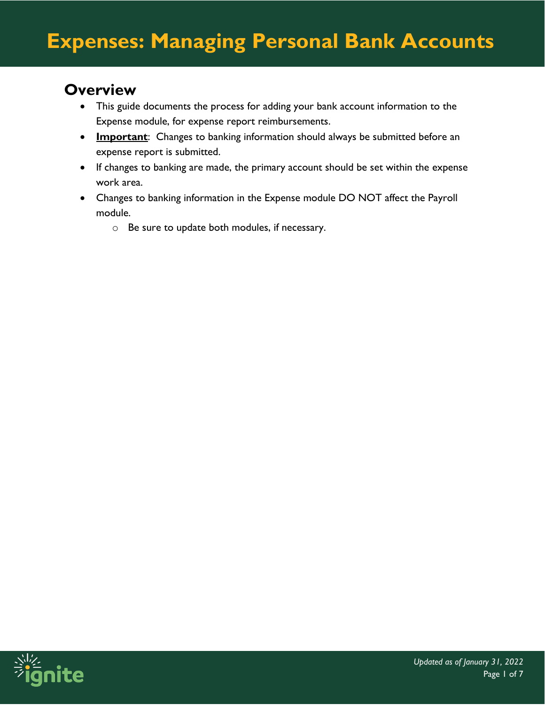### **Overview**

- This guide documents the process for adding your bank account information to the Expense module, for expense report reimbursements.
- **Important**: Changes to banking information should always be submitted before an expense report is submitted.
- If changes to banking are made, the primary account should be set within the expense work area.
- Changes to banking information in the Expense module DO NOT affect the Payroll module.
	- o Be sure to update both modules, if necessary.

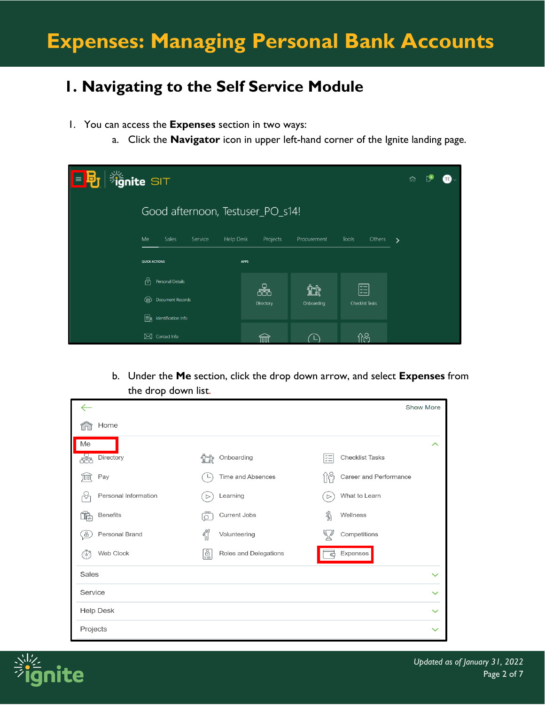## **1. Navigating to the Self Service Module**

- 1. You can access the **Expenses** section in two ways:
	- a. Click the **Navigator** icon in upper left-hand corner of the Ignite landing page.

| <b>Signite SIT</b><br>目別 |                                            |                |                  |                             | 'n            |
|--------------------------|--------------------------------------------|----------------|------------------|-----------------------------|---------------|
|                          | Good afternoon, Testuser_PO_s14!           |                |                  |                             |               |
|                          | Me<br>Sales<br>Service<br><b>Help Desk</b> | Projects       | Procurement      | <b>Tools</b><br>Others      | $\rightarrow$ |
|                          | <b>QUICK ACTIONS</b>                       | <b>APPS</b>    |                  |                             |               |
|                          | ľΑ<br>Personal Details                     |                |                  |                             |               |
|                          | Document Records<br>⊕                      | æ<br>Directory | ĩî<br>Onboarding | 距<br><b>Checklist Tasks</b> |               |
|                          | ‡≣<br>Identification Info                  |                |                  |                             |               |
|                          | Contact Info<br>⊠                          | ШI             |                  | ႐ုပ္ပ                       |               |

b. Under the **Me** section, click the drop down arrow, and select **Expenses** from the drop down list.

|                      |                              | <b>Show More</b>                  |
|----------------------|------------------------------|-----------------------------------|
| Home                 |                              |                                   |
| Me                   |                              | ᄉ                                 |
| Directory<br>æ       | Onboarding                   | ķΞ<br><b>Checklist Tasks</b>      |
| Pay<br>ĪΠ            | Time and Absences            | 11억<br>Career and Performance     |
| Personal Information | Learning<br>$\triangleright$ | What to Learn<br>$\triangleright$ |
| <b>Benefits</b><br>r | Current Jobs<br>$\circ$      | ℁<br>Wellness                     |
| Personal Brand<br>8  | Ñ<br>Volunteering            | Competitions                      |
| Web Clock<br>663     | L<br>Roles and Delegations   | Expenses<br>⋐                     |
| <b>Sales</b>         |                              | $\checkmark$                      |
| Service              |                              | $\checkmark$                      |
| <b>Help Desk</b>     |                              | $\checkmark$                      |
| Projects             |                              |                                   |

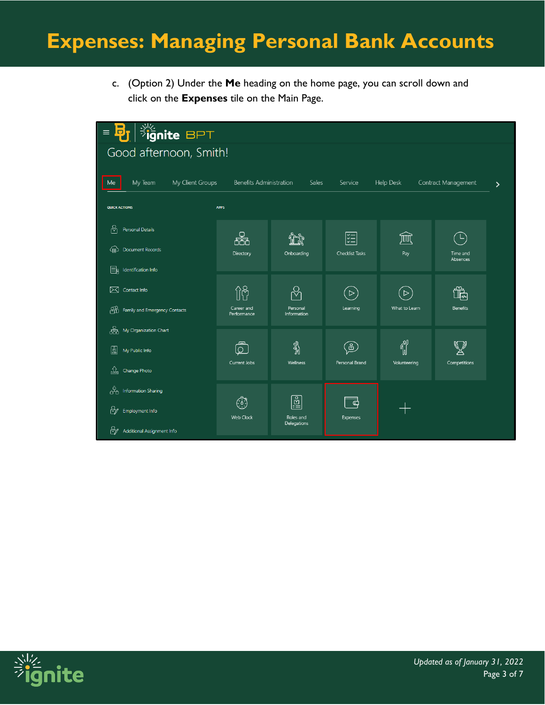c. (Option 2) Under the **Me** heading on the home page, you can scroll down and click on the **Expenses** tile on the Main Page.

| $ \frac{3\frac{1}{2}}{2} $ ignite BPT<br>o,<br>$\equiv$ |                                |                                 |                                |                  |                      |   |
|---------------------------------------------------------|--------------------------------|---------------------------------|--------------------------------|------------------|----------------------|---|
| Good afternoon, Smith!                                  |                                |                                 |                                |                  |                      |   |
| My Client Groups<br>My Team<br>Me                       | <b>Benefits Administration</b> | Sales                           | Service                        | <b>Help Desk</b> | Contract Management  | ゝ |
| <b>QUICK ACTIONS</b>                                    | <b>APPS</b>                    |                                 |                                |                  |                      |   |
| ု့<br><b>Personal Details</b>                           | 品                              |                                 | 쮥                              | 寙                |                      |   |
| Document Records<br>(目)                                 | Directory                      | Onboarding                      | <b>Checklist Tasks</b>         | Pay              | Time and<br>Absences |   |
| ER<br>Identification Info                               |                                |                                 |                                |                  |                      |   |
| Contact Info<br>$\bowtie$                               | $\hat{\mathbb{I}}^{\otimes}_U$ | ℀                               | $\overline{C}$                 | $\triangleright$ | Œੈ                   |   |
| ₩<br>Family and Emergency Contacts                      | Career and<br>Performance      | Personal<br>Information         | Learning                       | What to Learn    | Benefits             |   |
| 喦<br>My Organization Chart                              |                                |                                 |                                |                  |                      |   |
| ☝<br>My Public Info                                     | ௹<br>Current Jobs              | ୡୗ<br><b>Wellness</b>           | $\mathbb{E}$<br>Personal Brand | Volunteering     | Competitions         |   |
| €<br>Change Photo                                       |                                |                                 |                                |                  |                      |   |
| ුසු<br><b>Information Sharing</b>                       | $\binom{7}{1}$                 | <u>ခြို့</u>                    | 급                              |                  |                      |   |
| ₩<br>Employment Info                                    | <b>Web Clock</b>               | Roles and<br><b>Delegations</b> | <b>Expenses</b>                |                  |                      |   |
| ₩<br>Additional Assignment Info                         |                                |                                 |                                |                  |                      |   |

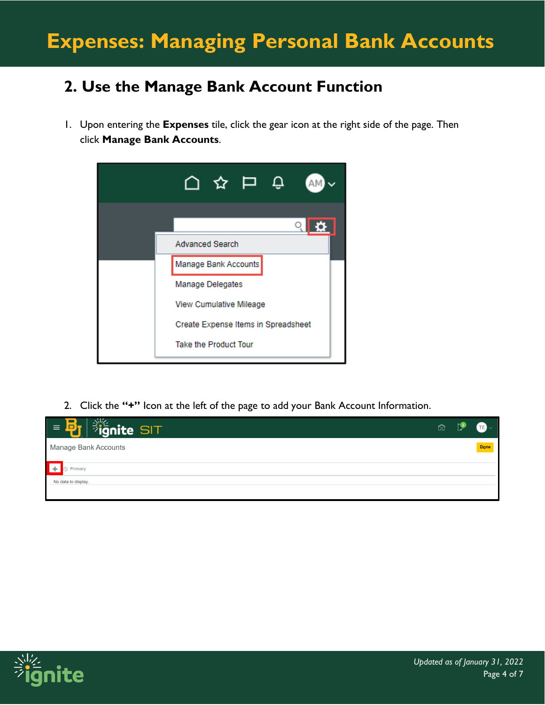## **2. Use the Manage Bank Account Function**

1. Upon entering the **Expenses** tile, click the gear icon at the right side of the page. Then click **Manage Bank Accounts**.



2. Click the **"+"** Icon at the left of the page to add your Bank Account Information.



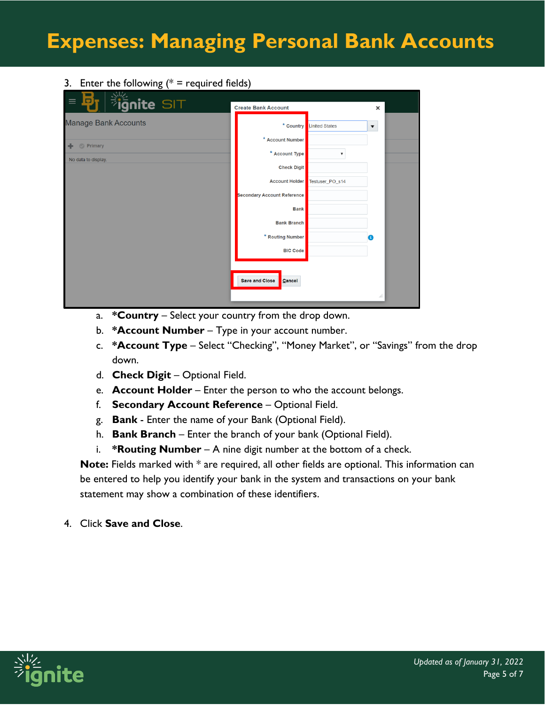#### 3. Enter the following  $(* =$  required fields)

| o<br>$\equiv$<br><b><i><sup>7</sup>ignite SIT</i></b>                               | <b>Create Bank Account</b>                                                                     |                                                               | ×                    |  |
|-------------------------------------------------------------------------------------|------------------------------------------------------------------------------------------------|---------------------------------------------------------------|----------------------|--|
| <b>Manage Bank Accounts</b><br>$\bigoplus$<br><b>Primary</b><br>No data to display. | * Country<br>* Account Number<br>* Account Type<br><b>Check Digit</b><br><b>Account Holder</b> | <b>United States</b><br>$\pmb{\mathbb{v}}$<br>Testuser_PO_s14 | $\blacktriangledown$ |  |
|                                                                                     | <b>Secondary Account Reference</b><br><b>Bank</b><br><b>Bank Branch</b>                        |                                                               |                      |  |
|                                                                                     | * Routing Number<br><b>BIC Code</b>                                                            |                                                               | G.                   |  |
|                                                                                     | <b>Save and Close</b><br>Cancel                                                                |                                                               | d                    |  |

- a. **\*Country**  Select your country from the drop down.
- b. **\*Account Number** Type in your account number.
- c. **\*Account Type** Select "Checking", "Money Market", or "Savings" from the drop down.
- d. **Check Digit**  Optional Field.
- e. **Account Holder** Enter the person to who the account belongs.
- f. **Secondary Account Reference**  Optional Field.
- g. **Bank** Enter the name of your Bank (Optional Field).
- h. **Bank Branch** Enter the branch of your bank (Optional Field).
- i. **\*Routing Number** A nine digit number at the bottom of a check.

**Note:** Fields marked with \* are required, all other fields are optional. This information can be entered to help you identify your bank in the system and transactions on your bank statement may show a combination of these identifiers.

4. Click **Save and Close**.

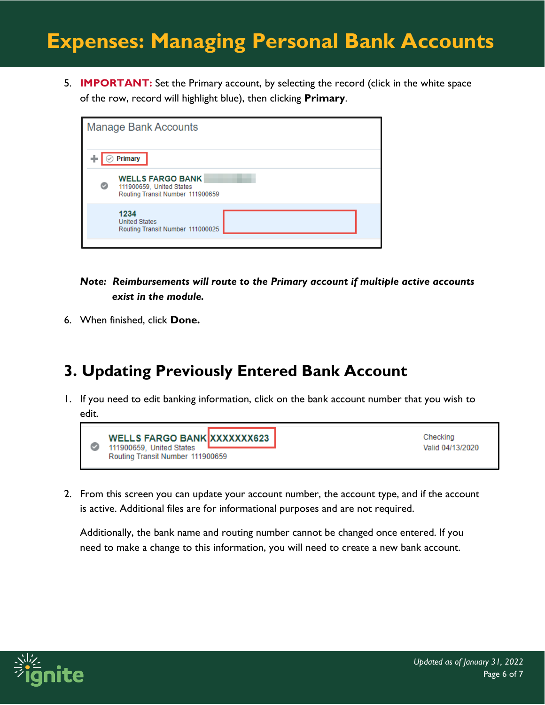5. **IMPORTANT:** Set the Primary account, by selecting the record (click in the white space of the row, record will highlight blue), then clicking **Primary**.

|   | <b>Manage Bank Accounts</b>                                                             |  |
|---|-----------------------------------------------------------------------------------------|--|
|   | Primary                                                                                 |  |
| Ø | <b>WELLS FARGO BANK</b><br>111900659, United States<br>Routing Transit Number 111900659 |  |
|   | 1234<br><b>United States</b><br>Routing Transit Number 111000025                        |  |
|   |                                                                                         |  |

*Note: Reimbursements will route to the Primary account if multiple active accounts exist in the module.*

6. When finished, click **Done.**

## **3. Updating Previously Entered Bank Account**

1. If you need to edit banking information, click on the bank account number that you wish to edit.



2. From this screen you can update your account number, the account type, and if the account is active. Additional files are for informational purposes and are not required.

Additionally, the bank name and routing number cannot be changed once entered. If you need to make a change to this information, you will need to create a new bank account.